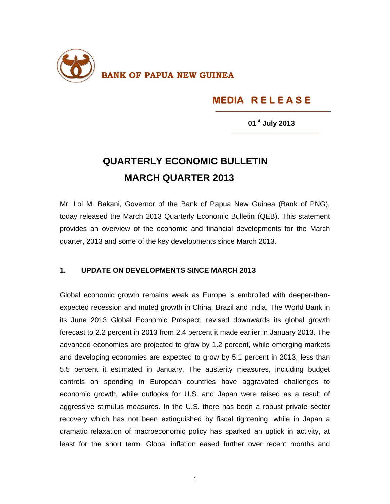

## **MEDIA R E L E A S E**

**<sup>01</sup>st July 2013** 

## **QUARTERLY ECONOMIC BULLETIN MARCH QUARTER 2013**

Mr. Loi M. Bakani, Governor of the Bank of Papua New Guinea (Bank of PNG), today released the March 2013 Quarterly Economic Bulletin (QEB). This statement provides an overview of the economic and financial developments for the March quarter, 2013 and some of the key developments since March 2013.

## **1. UPDATE ON DEVELOPMENTS SINCE MARCH 2013**

Global economic growth remains weak as Europe is embroiled with deeper-thanexpected recession and muted growth in China, Brazil and India. The World Bank in its June 2013 Global Economic Prospect, revised downwards its global growth forecast to 2.2 percent in 2013 from 2.4 percent it made earlier in January 2013. The advanced economies are projected to grow by 1.2 percent, while emerging markets and developing economies are expected to grow by 5.1 percent in 2013, less than 5.5 percent it estimated in January. The austerity measures, including budget controls on spending in European countries have aggravated challenges to economic growth, while outlooks for U.S. and Japan were raised as a result of aggressive stimulus measures. In the U.S. there has been a robust private sector recovery which has not been extinguished by fiscal tightening, while in Japan a dramatic relaxation of macroeconomic policy has sparked an uptick in activity, at least for the short term. Global inflation eased further over recent months and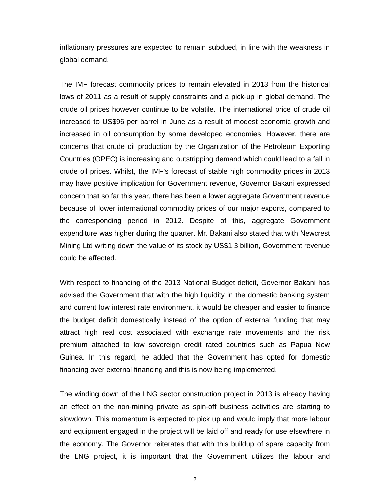inflationary pressures are expected to remain subdued, in line with the weakness in global demand.

The IMF forecast commodity prices to remain elevated in 2013 from the historical lows of 2011 as a result of supply constraints and a pick-up in global demand. The crude oil prices however continue to be volatile. The international price of crude oil increased to US\$96 per barrel in June as a result of modest economic growth and increased in oil consumption by some developed economies. However, there are concerns that crude oil production by the Organization of the Petroleum Exporting Countries (OPEC) is increasing and outstripping demand which could lead to a fall in crude oil prices. Whilst, the IMF's forecast of stable high commodity prices in 2013 may have positive implication for Government revenue, Governor Bakani expressed concern that so far this year, there has been a lower aggregate Government revenue because of lower international commodity prices of our major exports, compared to the corresponding period in 2012. Despite of this, aggregate Government expenditure was higher during the quarter. Mr. Bakani also stated that with Newcrest Mining Ltd writing down the value of its stock by US\$1.3 billion, Government revenue could be affected.

With respect to financing of the 2013 National Budget deficit, Governor Bakani has advised the Government that with the high liquidity in the domestic banking system and current low interest rate environment, it would be cheaper and easier to finance the budget deficit domestically instead of the option of external funding that may attract high real cost associated with exchange rate movements and the risk premium attached to low sovereign credit rated countries such as Papua New Guinea. In this regard, he added that the Government has opted for domestic financing over external financing and this is now being implemented.

The winding down of the LNG sector construction project in 2013 is already having an effect on the non-mining private as spin-off business activities are starting to slowdown. This momentum is expected to pick up and would imply that more labour and equipment engaged in the project will be laid off and ready for use elsewhere in the economy. The Governor reiterates that with this buildup of spare capacity from the LNG project, it is important that the Government utilizes the labour and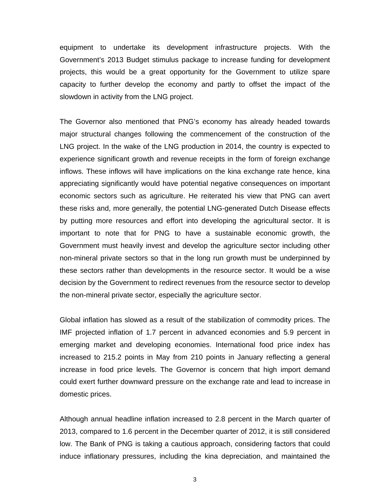equipment to undertake its development infrastructure projects. With the Government's 2013 Budget stimulus package to increase funding for development projects, this would be a great opportunity for the Government to utilize spare capacity to further develop the economy and partly to offset the impact of the slowdown in activity from the LNG project.

The Governor also mentioned that PNG's economy has already headed towards major structural changes following the commencement of the construction of the LNG project. In the wake of the LNG production in 2014, the country is expected to experience significant growth and revenue receipts in the form of foreign exchange inflows. These inflows will have implications on the kina exchange rate hence, kina appreciating significantly would have potential negative consequences on important economic sectors such as agriculture. He reiterated his view that PNG can avert these risks and, more generally, the potential LNG-generated Dutch Disease effects by putting more resources and effort into developing the agricultural sector. It is important to note that for PNG to have a sustainable economic growth, the Government must heavily invest and develop the agriculture sector including other non-mineral private sectors so that in the long run growth must be underpinned by these sectors rather than developments in the resource sector. It would be a wise decision by the Government to redirect revenues from the resource sector to develop the non-mineral private sector, especially the agriculture sector.

Global inflation has slowed as a result of the stabilization of commodity prices. The IMF projected inflation of 1.7 percent in advanced economies and 5.9 percent in emerging market and developing economies. International food price index has increased to 215.2 points in May from 210 points in January reflecting a general increase in food price levels. The Governor is concern that high import demand could exert further downward pressure on the exchange rate and lead to increase in domestic prices.

Although annual headline inflation increased to 2.8 percent in the March quarter of 2013, compared to 1.6 percent in the December quarter of 2012, it is still considered low. The Bank of PNG is taking a cautious approach, considering factors that could induce inflationary pressures, including the kina depreciation, and maintained the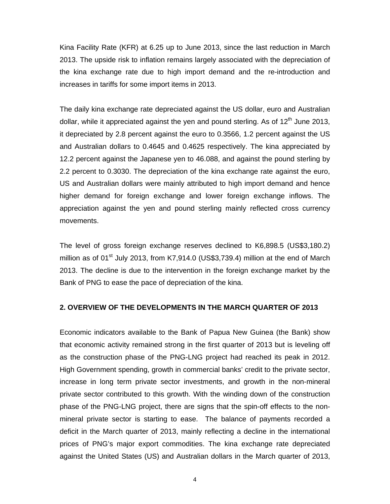Kina Facility Rate (KFR) at 6.25 up to June 2013, since the last reduction in March 2013. The upside risk to inflation remains largely associated with the depreciation of the kina exchange rate due to high import demand and the re-introduction and increases in tariffs for some import items in 2013.

The daily kina exchange rate depreciated against the US dollar, euro and Australian dollar, while it appreciated against the yen and pound sterling. As of  $12<sup>th</sup>$  June 2013, it depreciated by 2.8 percent against the euro to 0.3566, 1.2 percent against the US and Australian dollars to 0.4645 and 0.4625 respectively. The kina appreciated by 12.2 percent against the Japanese yen to 46.088, and against the pound sterling by 2.2 percent to 0.3030. The depreciation of the kina exchange rate against the euro, US and Australian dollars were mainly attributed to high import demand and hence higher demand for foreign exchange and lower foreign exchange inflows. The appreciation against the yen and pound sterling mainly reflected cross currency movements.

The level of gross foreign exchange reserves declined to K6,898.5 (US\$3,180.2) million as of  $01^{st}$  July 2013, from K7,914.0 (US\$3,739.4) million at the end of March 2013. The decline is due to the intervention in the foreign exchange market by the Bank of PNG to ease the pace of depreciation of the kina.

## **2. OVERVIEW OF THE DEVELOPMENTS IN THE MARCH QUARTER OF 2013**

Economic indicators available to the Bank of Papua New Guinea (the Bank) show that economic activity remained strong in the first quarter of 2013 but is leveling off as the construction phase of the PNG-LNG project had reached its peak in 2012. High Government spending, growth in commercial banks' credit to the private sector, increase in long term private sector investments, and growth in the non-mineral private sector contributed to this growth. With the winding down of the construction phase of the PNG-LNG project, there are signs that the spin-off effects to the nonmineral private sector is starting to ease. The balance of payments recorded a deficit in the March quarter of 2013, mainly reflecting a decline in the international prices of PNG's major export commodities. The kina exchange rate depreciated against the United States (US) and Australian dollars in the March quarter of 2013,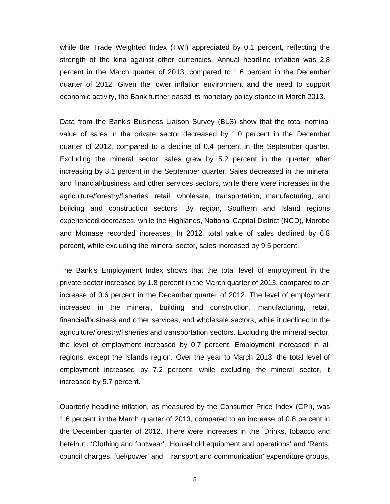while the Trade Weighted Index (TWI) appreciated by 0.1 percent, reflecting the strength of the kina against other currencies. Annual headline inflation was 2.8 percent in the March quarter of 2013, compared to 1.6 percent in the December quarter of 2012. Given the lower inflation environment and the need to support economic activity, the Bank further eased its monetary policy stance in March 2013.

Data from the Bank's Business Liaison Survey (BLS) show that the total nominal value of sales in the private sector decreased by 1.0 percent in the December quarter of 2012, compared to a decline of 0.4 percent in the September quarter. Excluding the mineral sector, sales grew by 5.2 percent in the quarter, after increasing by 3.1 percent in the September quarter. Sales decreased in the mineral and financial/business and other services sectors, while there were increases in the agriculture/forestry/fisheries, retail, wholesale, transportation, manufacturing, and building and construction sectors. By region, Southern and Island regions experienced decreases, while the Highlands, National Capital District (NCD), Morobe and Momase recorded increases. In 2012, total value of sales declined by 6.8 percent, while excluding the mineral sector, sales increased by 9.5 percent.

The Bank's Employment Index shows that the total level of employment in the private sector increased by 1.8 percent in the March quarter of 2013, compared to an increase of 0.6 percent in the December quarter of 2012. The level of employment increased in the mineral, building and construction, manufacturing, retail, financial/business and other services, and wholesale sectors, while it declined in the agriculture/forestry/fisheries and transportation sectors. Excluding the mineral sector, the level of employment increased by 0.7 percent. Employment increased in all regions, except the Islands region. Over the year to March 2013, the total level of employment increased by 7.2 percent, while excluding the mineral sector, it increased by 5.7 percent.

Quarterly headline inflation, as measured by the Consumer Price Index (CPI), was 1.6 percent in the March quarter of 2013, compared to an increase of 0.8 percent in the December quarter of 2012. There were increases in the 'Drinks, tobacco and betelnut', 'Clothing and footwear', 'Household equipment and operations' and 'Rents, council charges, fuel/power' and 'Transport and communication' expenditure groups,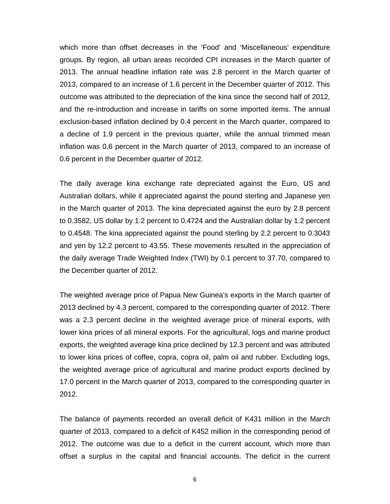which more than offset decreases in the 'Food' and 'Miscellaneous' expenditure groups. By region, all urban areas recorded CPI increases in the March quarter of 2013. The annual headline inflation rate was 2.8 percent in the March quarter of 2013, compared to an increase of 1.6 percent in the December quarter of 2012. This outcome was attributed to the depreciation of the kina since the second half of 2012, and the re-introduction and increase in tariffs on some imported items. The annual exclusion-based inflation declined by 0.4 percent in the March quarter, compared to a decline of 1.9 percent in the previous quarter, while the annual trimmed mean inflation was 0.6 percent in the March quarter of 2013, compared to an increase of 0.6 percent in the December quarter of 2012.

The daily average kina exchange rate depreciated against the Euro, US and Australian dollars, while it appreciated against the pound sterling and Japanese yen in the March quarter of 2013. The kina depreciated against the euro by 2.8 percent to 0.3582, US dollar by 1.2 percent to 0.4724 and the Australian dollar by 1.2 percent to 0.4548. The kina appreciated against the pound sterling by 2.2 percent to 0.3043 and yen by 12.2 percent to 43.55. These movements resulted in the appreciation of the daily average Trade Weighted Index (TWI) by 0.1 percent to 37.70, compared to the December quarter of 2012.

The weighted average price of Papua New Guinea's exports in the March quarter of 2013 declined by 4.3 percent, compared to the corresponding quarter of 2012. There was a 2.3 percent decline in the weighted average price of mineral exports, with lower kina prices of all mineral exports. For the agricultural, logs and marine product exports, the weighted average kina price declined by 12.3 percent and was attributed to lower kina prices of coffee, copra, copra oil, palm oil and rubber. Excluding logs, the weighted average price of agricultural and marine product exports declined by 17.0 percent in the March quarter of 2013, compared to the corresponding quarter in 2012.

The balance of payments recorded an overall deficit of K431 million in the March quarter of 2013, compared to a deficit of K452 million in the corresponding period of 2012. The outcome was due to a deficit in the current account, which more than offset a surplus in the capital and financial accounts. The deficit in the current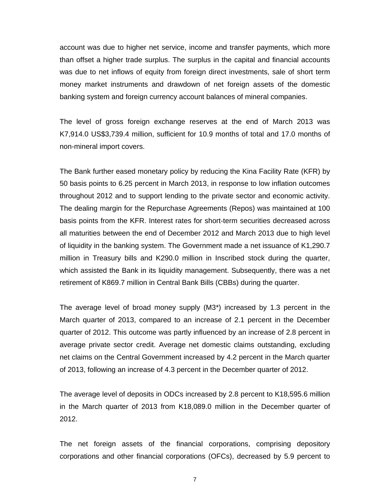account was due to higher net service, income and transfer payments, which more than offset a higher trade surplus. The surplus in the capital and financial accounts was due to net inflows of equity from foreign direct investments, sale of short term money market instruments and drawdown of net foreign assets of the domestic banking system and foreign currency account balances of mineral companies.

The level of gross foreign exchange reserves at the end of March 2013 was K7,914.0 US\$3,739.4 million, sufficient for 10.9 months of total and 17.0 months of non-mineral import covers.

The Bank further eased monetary policy by reducing the Kina Facility Rate (KFR) by 50 basis points to 6.25 percent in March 2013, in response to low inflation outcomes throughout 2012 and to support lending to the private sector and economic activity. The dealing margin for the Repurchase Agreements (Repos) was maintained at 100 basis points from the KFR. Interest rates for short-term securities decreased across all maturities between the end of December 2012 and March 2013 due to high level of liquidity in the banking system. The Government made a net issuance of K1,290.7 million in Treasury bills and K290.0 million in Inscribed stock during the quarter, which assisted the Bank in its liquidity management. Subsequently, there was a net retirement of K869.7 million in Central Bank Bills (CBBs) during the quarter.

The average level of broad money supply (M3\*) increased by 1.3 percent in the March quarter of 2013, compared to an increase of 2.1 percent in the December quarter of 2012. This outcome was partly influenced by an increase of 2.8 percent in average private sector credit. Average net domestic claims outstanding, excluding net claims on the Central Government increased by 4.2 percent in the March quarter of 2013, following an increase of 4.3 percent in the December quarter of 2012.

The average level of deposits in ODCs increased by 2.8 percent to K18,595.6 million in the March quarter of 2013 from K18,089.0 million in the December quarter of 2012.

The net foreign assets of the financial corporations, comprising depository corporations and other financial corporations (OFCs), decreased by 5.9 percent to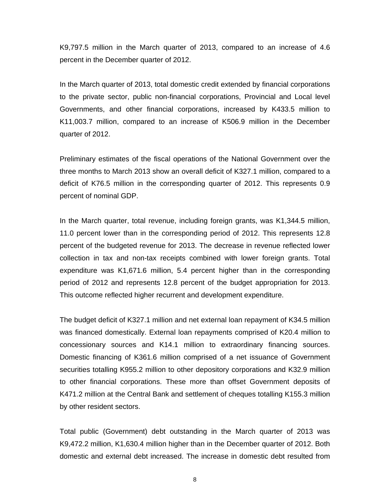K9,797.5 million in the March quarter of 2013, compared to an increase of 4.6 percent in the December quarter of 2012.

In the March quarter of 2013, total domestic credit extended by financial corporations to the private sector, public non-financial corporations, Provincial and Local level Governments, and other financial corporations, increased by K433.5 million to K11,003.7 million, compared to an increase of K506.9 million in the December quarter of 2012.

Preliminary estimates of the fiscal operations of the National Government over the three months to March 2013 show an overall deficit of K327.1 million, compared to a deficit of K76.5 million in the corresponding quarter of 2012. This represents 0.9 percent of nominal GDP.

In the March quarter, total revenue, including foreign grants, was K1,344.5 million, 11.0 percent lower than in the corresponding period of 2012. This represents 12.8 percent of the budgeted revenue for 2013. The decrease in revenue reflected lower collection in tax and non-tax receipts combined with lower foreign grants. Total expenditure was K1,671.6 million, 5.4 percent higher than in the corresponding period of 2012 and represents 12.8 percent of the budget appropriation for 2013. This outcome reflected higher recurrent and development expenditure.

The budget deficit of K327.1 million and net external loan repayment of K34.5 million was financed domestically. External loan repayments comprised of K20.4 million to concessionary sources and K14.1 million to extraordinary financing sources. Domestic financing of K361.6 million comprised of a net issuance of Government securities totalling K955.2 million to other depository corporations and K32.9 million to other financial corporations. These more than offset Government deposits of K471.2 million at the Central Bank and settlement of cheques totalling K155.3 million by other resident sectors.

Total public (Government) debt outstanding in the March quarter of 2013 was K9,472.2 million, K1,630.4 million higher than in the December quarter of 2012. Both domestic and external debt increased. The increase in domestic debt resulted from